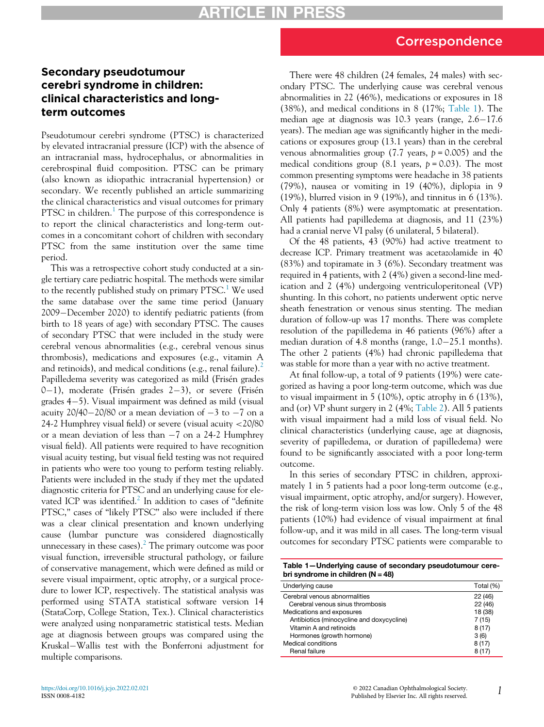## Correspondence

## Secondary pseudotumour cerebri syndrome in children: clinical characteristics and longterm outcomes

Pseudotumour cerebri syndrome (PTSC) is characterized by elevated intracranial pressure (ICP) with the absence of an intracranial mass, hydrocephalus, or abnormalities in cerebrospinal fluid composition. PTSC can be primary (also known as idiopathic intracranial hypertension) or secondary. We recently published an article summarizing the clinical characteristics and visual outcomes for primary PTSC in children.<sup>[1](#page-2-0)</sup> The purpose of this correspondence is to report the clinical characteristics and long-term outcomes in a concomitant cohort of children with secondary PTSC from the same institution over the same time period.

This was a retrospective cohort study conducted at a single tertiary care pediatric hospital. The methods were similar to the recently published study on primary PTSC.<sup>[1](#page-2-0)</sup> We used the same database over the same time period (January 2009-December 2020) to identify pediatric patients (from birth to 18 years of age) with secondary PTSC. The causes of secondary PTSC that were included in the study were cerebral venous abnormalities (e.g., cerebral venous sinus thrombosis), medications and exposures (e.g., vitamin A and retinoids), and medical conditions (e.g., renal failure).<sup>[2](#page-2-1)</sup> Papilledema severity was categorized as mild (Frisén grades  $0-1$ ), moderate (Frisén grades 2-3), or severe (Frisén grades  $4-5$ ). Visual impairment was defined as mild (visual acuity  $20/40-20/80$  or a mean deviation of  $-3$  to  $-7$  on a 24-2 Humphrey visual field) or severe (visual acuity <20/80 or a mean deviation of less than  $-7$  on a 24-2 Humphrey visual field). All patients were required to have recognition visual acuity testing, but visual field testing was not required in patients who were too young to perform testing reliably. Patients were included in the study if they met the updated diagnostic criteria for PTSC and an underlying cause for ele-vated ICP was identified.<sup>[2](#page-2-1)</sup> In addition to cases of "definite" PTSC," cases of "likely PTSC" also were included if there was a clear clinical presentation and known underlying cause (lumbar puncture was considered diagnostically unnecessary in these cases).<sup>[2](#page-2-1)</sup> The primary outcome was poor visual function, irreversible structural pathology, or failure of conservative management, which were defined as mild or severe visual impairment, optic atrophy, or a surgical procedure to lower ICP, respectively. The statistical analysis was performed using STATA statistical software version 14 (StataCorp, College Station, Tex.). Clinical characteristics were analyzed using nonparametric statistical tests. Median age at diagnosis between groups was compared using the Kruskal-Wallis test with the Bonferroni adjustment for multiple comparisons.

There were 48 children (24 females, 24 males) with secondary PTSC. The underlying cause was cerebral venous abnormalities in 22 (46%), medications or exposures in 18 (38%), and medical conditions in 8 (17%; [Table 1\)](#page-0-0). The median age at diagnosis was  $10.3$  years (range,  $2.6-17.6$ ) years). The median age was significantly higher in the medications or exposures group (13.1 years) than in the cerebral venous abnormalities group (7.7 years,  $p = 0.005$ ) and the medical conditions group (8.1 years,  $p = 0.03$ ). The most common presenting symptoms were headache in 38 patients (79%), nausea or vomiting in 19 (40%), diplopia in 9 (19%), blurred vision in 9 (19%), and tinnitus in 6 (13%). Only 4 patients (8%) were asymptomatic at presentation. All patients had papilledema at diagnosis, and 11 (23%) had a cranial nerve VI palsy (6 unilateral, 5 bilateral).

Of the 48 patients, 43 (90%) had active treatment to decrease ICP. Primary treatment was acetazolamide in 40 (83%) and topiramate in 3 (6%). Secondary treatment was required in 4 patients, with 2 (4%) given a second-line medication and 2 (4%) undergoing ventriculoperitoneal (VP) shunting. In this cohort, no patients underwent optic nerve sheath fenestration or venous sinus stenting. The median duration of follow-up was 17 months. There was complete resolution of the papilledema in 46 patients (96%) after a median duration of 4.8 months (range,  $1.0-25.1$  months). The other 2 patients (4%) had chronic papilledema that was stable for more than a year with no active treatment.

At final follow-up, a total of 9 patients (19%) were categorized as having a poor long-term outcome, which was due to visual impairment in 5 (10%), optic atrophy in 6 (13%), and (or) VP shunt surgery in 2 (4%; [Table 2](#page-1-0)). All 5 patients with visual impairment had a mild loss of visual field. No clinical characteristics (underlying cause, age at diagnosis, severity of papilledema, or duration of papilledema) were found to be significantly associated with a poor long-term outcome.

In this series of secondary PTSC in children, approximately 1 in 5 patients had a poor long-term outcome (e.g., visual impairment, optic atrophy, and/or surgery). However, the risk of long-term vision loss was low. Only 5 of the 48 patients (10%) had evidence of visual impairment at final follow-up, and it was mild in all cases. The long-term visual outcomes for secondary PTSC patients were comparable to

<span id="page-0-0"></span>

| Table 1-Underlying cause of secondary pseudotumour cere- |  |  |
|----------------------------------------------------------|--|--|
| bri syndrome in children ( $N = 48$ )                    |  |  |

| Underlying cause                          | Total (%) |
|-------------------------------------------|-----------|
| Cerebral venous abnormalities             | 22 (46)   |
| Cerebral venous sinus thrombosis          | 22 (46)   |
| Medications and exposures                 | 18 (38)   |
| Antibiotics (minocycline and doxycycline) | 7(15)     |
| Vitamin A and retinoids                   | 8(17)     |
| Hormones (growth hormone)                 | 3(6)      |
| Medical conditions                        | 8(17)     |
| Renal failure                             | 8(17)     |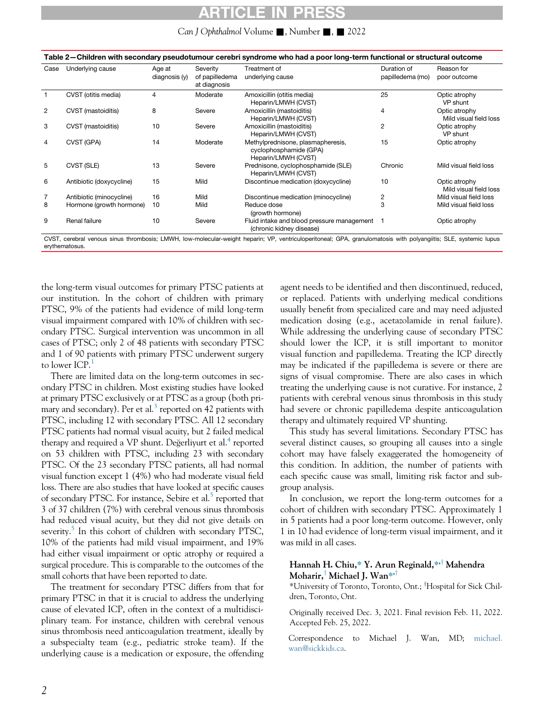# ARTICLE IN PRE

#### Can J Ophthalmol Volume  $\blacksquare$ , Number  $\blacksquare$ ,  $\blacksquare$  2022

<span id="page-1-0"></span>

| Table 2—Children with secondary pseudotumour cerebri syndrome who had a poor long-term functional or structural outcome |                          |                         |                                            |                                                                                    |                                 |                                         |  |  |
|-------------------------------------------------------------------------------------------------------------------------|--------------------------|-------------------------|--------------------------------------------|------------------------------------------------------------------------------------|---------------------------------|-----------------------------------------|--|--|
| Case                                                                                                                    | Underlying cause         | Age at<br>diagnosis (y) | Severity<br>of papilledema<br>at diagnosis | Treatment of<br>underlying cause                                                   | Duration of<br>papilledema (mo) | Reason for<br>poor outcome              |  |  |
|                                                                                                                         | CVST (otitis media)      | 4                       | Moderate                                   | Amoxicillin (otitis media)<br>Heparin/LMWH (CVST)                                  | 25                              | Optic atrophy<br>VP shunt               |  |  |
| 2                                                                                                                       | CVST (mastoiditis)       | 8                       | Severe                                     | Amoxicillin (mastoiditis)<br>Heparin/LMWH (CVST)                                   | $\overline{4}$                  | Optic atrophy<br>Mild visual field loss |  |  |
| 3                                                                                                                       | CVST (mastoiditis)       | 10                      | Severe                                     | Amoxicillin (mastoiditis)<br>Heparin/LMWH (CVST)                                   | 2                               | Optic atrophy<br>VP shunt               |  |  |
| 4                                                                                                                       | CVST (GPA)               | 14                      | Moderate                                   | Methylprednisone, plasmapheresis,<br>cyclophosphamide (GPA)<br>Heparin/LMWH (CVST) | 15                              | Optic atrophy                           |  |  |
| 5                                                                                                                       | CVST (SLE)               | 13                      | Severe                                     | Prednisone, cyclophosphamide (SLE)<br>Heparin/LMWH (CVST)                          | Chronic                         | Mild visual field loss                  |  |  |
| 6                                                                                                                       | Antibiotic (doxycycline) | 15                      | Mild                                       | Discontinue medication (doxycycline)                                               | 10                              | Optic atrophy<br>Mild visual field loss |  |  |
|                                                                                                                         | Antibiotic (minocycline) | 16                      | Mild                                       | Discontinue medication (minocycline)                                               | 2                               | Mild visual field loss                  |  |  |
| 8                                                                                                                       | Hormone (growth hormone) | 10                      | Mild                                       | Reduce dose<br>(growth hormone)                                                    | 3                               | Mild visual field loss                  |  |  |
| 9                                                                                                                       | Renal failure            | 10                      | Severe                                     | Fluid intake and blood pressure management<br>(chronic kidney disease)             |                                 | Optic atrophy                           |  |  |

CVST, cerebral venous sinus thrombosis; LMWH, low-molecular-weight heparin; VP, ventriculoperitoneal; GPA, granulomatosis with polyangiitis; SLE, systemic lupus erythematosus.

the long-term visual outcomes for primary PTSC patients at our institution. In the cohort of children with primary PTSC, 9% of the patients had evidence of mild long-term visual impairment compared with 10% of children with secondary PTSC. Surgical intervention was uncommon in all cases of PTSC; only 2 of 48 patients with secondary PTSC and 1 of 90 patients with primary PTSC underwent surgery to lower  $ICP<sup>1</sup>$  $ICP<sup>1</sup>$  $ICP<sup>1</sup>$ 

There are limited data on the long-term outcomes in secondary PTSC in children. Most existing studies have looked at primary PTSC exclusively or at PTSC as a group (both pri-mary and secondary). Per et al.<sup>[3](#page-2-2)</sup> reported on 42 patients with PTSC, including 12 with secondary PTSC. All 12 secondary PTSC patients had normal visual acuity, but 2 failed medical therapy and required a VP shunt. Degerliyurt et al. $4$  reported on 53 children with PTSC, including 23 with secondary PTSC. Of the 23 secondary PTSC patients, all had normal visual function except 1 (4%) who had moderate visual field loss. There are also studies that have looked at specific causes of secondary PTSC. For instance, Sebire et al.<sup>[5](#page-2-4)</sup> reported that 3 of 37 children (7%) with cerebral venous sinus thrombosis had reduced visual acuity, but they did not give details on severity.<sup>5</sup> In this cohort of children with secondary PTSC, 10% of the patients had mild visual impairment, and 19% had either visual impairment or optic atrophy or required a surgical procedure. This is comparable to the outcomes of the small cohorts that have been reported to date.

The treatment for secondary PTSC differs from that for primary PTSC in that it is crucial to address the underlying cause of elevated ICP, often in the context of a multidisciplinary team. For instance, children with cerebral venous sinus thrombosis need anticoagulation treatment, ideally by a subspecialty team (e.g., pediatric stroke team). If the underlying cause is a medication or exposure, the offending agent needs to be identified and then discontinued, reduced, or replaced. Patients with underlying medical conditions usually benefit from specialized care and may need adjusted medication dosing (e.g., acetazolamide in renal failure). While addressing the underlying cause of secondary PTSC should lower the ICP, it is still important to monitor visual function and papilledema. Treating the ICP directly may be indicated if the papilledema is severe or there are signs of visual compromise. There are also cases in which treating the underlying cause is not curative. For instance, 2 patients with cerebral venous sinus thrombosis in this study had severe or chronic papilledema despite anticoagulation therapy and ultimately required VP shunting.

This study has several limitations. Secondary PTSC has several distinct causes, so grouping all causes into a single cohort may have falsely exaggerated the homogeneity of this condition. In addition, the number of patients with each specific cause was small, limiting risk factor and subgroup analysis.

In conclusion, we report the long-term outcomes for a cohort of children with secondary PTSC. Approximately 1 in 5 patients had a poor long-term outcome. However, only 1 in 10 had evidence of long-term visual impairment, and it was mild in all cases.

#### Hannah H. Chiu,\* Y. Arun Reginald,\*<sup>+</sup> Mahendra Moharir,<sup>†</sup> Michael J. Wan\*<sup>+†</sup>

\*University of Toronto, Toronto, Ont.; <sup>†</sup>Hospital for Sick Children, Toronto, Ont.

Originally received Dec. 3, 2021. Final revision Feb. 11, 2022. Accepted Feb. 25, 2022.

Correspondence to Michael J. Wan, MD; [michael.](mailto:michael.wan@sickkids.ca) [wan@sickkids.ca](mailto:michael.wan@sickkids.ca).